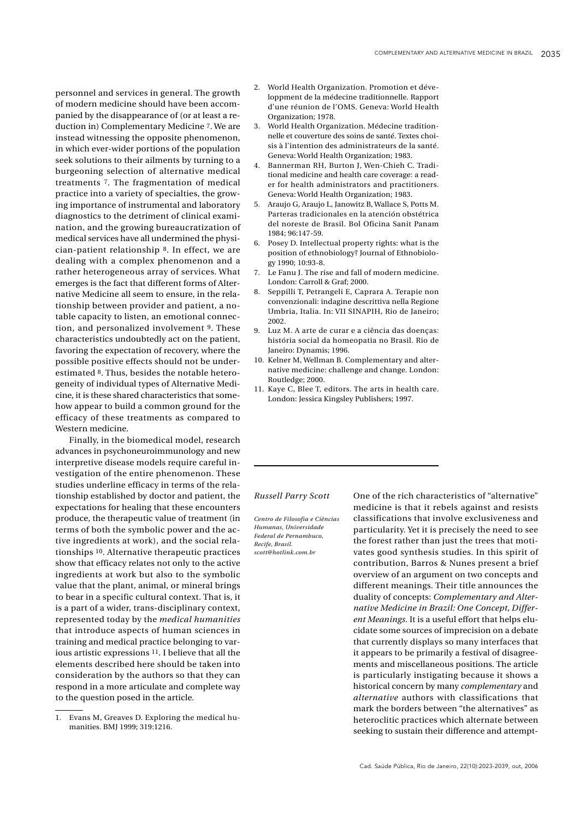personnel and services in general. The growth of modern medicine should have been accompanied by the disappearance of (or at least a reduction in) Complementary Medicine 7. We are instead witnessing the opposite phenomenon, in which ever-wider portions of the population seek solutions to their ailments by turning to a burgeoning selection of alternative medical treatments 7. The fragmentation of medical practice into a variety of specialties, the growing importance of instrumental and laboratory diagnostics to the detriment of clinical examination, and the growing bureaucratization of medical services have all undermined the physician-patient relationship 8. In effect, we are dealing with a complex phenomenon and a rather heterogeneous array of services. What emerges is the fact that different forms of Alternative Medicine all seem to ensure, in the relationship between provider and patient, a notable capacity to listen, an emotional connection, and personalized involvement 9. These characteristics undoubtedly act on the patient, favoring the expectation of recovery, where the possible positive effects should not be underestimated 8. Thus, besides the notable heterogeneity of individual types of Alternative Medicine, it is these shared characteristics that somehow appear to build a common ground for the efficacy of these treatments as compared to Western medicine.

Finally, in the biomedical model, research advances in psychoneuroimmunology and new interpretive disease models require careful investigation of the entire phenomenon. These studies underline efficacy in terms of the relationship established by doctor and patient, the expectations for healing that these encounters produce, the therapeutic value of treatment (in terms of both the symbolic power and the active ingredients at work), and the social relationships 10. Alternative therapeutic practices show that efficacy relates not only to the active ingredients at work but also to the symbolic value that the plant, animal, or mineral brings to bear in a specific cultural context. That is, it is a part of a wider, trans-disciplinary context, represented today by the *medical humanities* that introduce aspects of human sciences in training and medical practice belonging to various artistic expressions 11. I believe that all the elements described here should be taken into consideration by the authors so that they can respond in a more articulate and complete way to the question posed in the article.

- 2. World Health Organization. Promotion et développment de la médecine traditionnelle. Rapport d'une réunion de l'OMS. Geneva: World Health Organization; 1978.
- 3. World Health Organization. Médecine traditionnelle et couverture des soins de santé. Textes choisis à l'intention des administrateurs de la santé. Geneva: World Health Organization; 1983.
- 4. Bannerman RH, Burton J, Wen-Chieh C. Traditional medicine and health care coverage: a reader for health administrators and practitioners. Geneva: World Health Organization; 1983.
- 5. Araujo G, Araujo L, Janowitz B, Wallace S, Potts M. Parteras tradicionales en la atención obstétrica del noreste de Brasil. Bol Oficina Sanit Panam 1984; 96:147-59.
- 6. Posey D. Intellectual property rights: what is the position of ethnobiology? Journal of Ethnobiology 1990; 10:93-8.
- 7. Le Fanu J. The rise and fall of modern medicine. London: Carroll & Graf; 2000.
- 8. Seppilli T, Petrangeli E, Caprara A. Terapie non convenzionali: indagine descrittiva nella Regione Umbria, Italia. In: VII SINAPIH, Rio de Janeiro; 2002.
- 9. Luz M. A arte de curar e a ciência das doenças: história social da homeopatia no Brasil. Rio de Janeiro: Dynamis; 1996.
- 10. Kelner M, Wellman B. Complementary and alternative medicine: challenge and change. London: Routledge; 2000.
- 11. Kaye C, Blee T, editors. The arts in health care. London: Jessica Kingsley Publishers; 1997.

## *Russell Parry Scott* One of the rich characteristics of "alternative"

*Centro de Filosofia e Ciências Humanas, Universidade Federal de Pernambuco, Recife, Brasil. scott@hotlink.com.br*

medicine is that it rebels against and resists classifications that involve exclusiveness and particularity. Yet it is precisely the need to see the forest rather than just the trees that motivates good synthesis studies. In this spirit of contribution, Barros & Nunes present a brief overview of an argument on two concepts and different meanings. Their title announces the duality of concepts: *Complementary and Alternative Medicine in Brazil: One Concept, Different Meanings*. It is a useful effort that helps elucidate some sources of imprecision on a debate that currently displays so many interfaces that it appears to be primarily a festival of disagreements and miscellaneous positions. The article is particularly instigating because it shows a historical concern by many *complementary* and *alternative* authors with classifications that mark the borders between "the alternatives" as heteroclitic practices which alternate between seeking to sustain their difference and attempt-

<sup>1.</sup> Evans M, Greaves D. Exploring the medical humanities. BMJ 1999; 319:1216.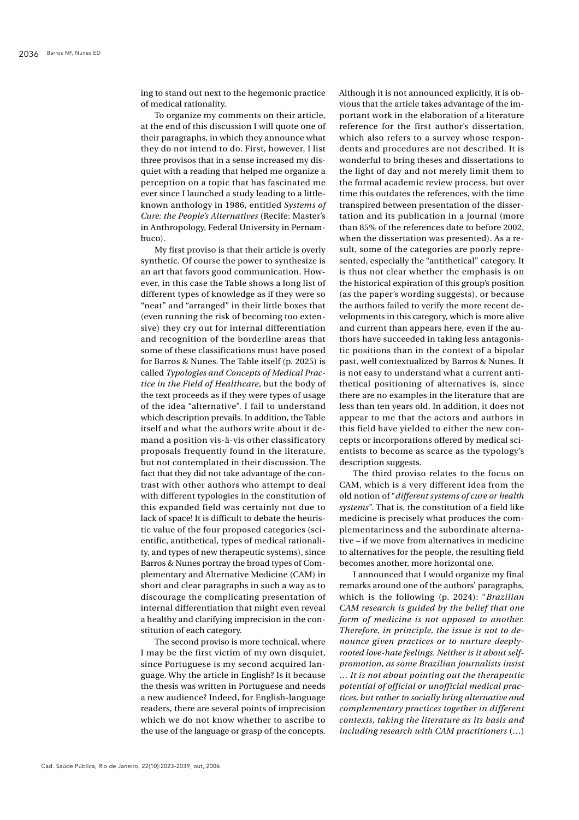ing to stand out next to the hegemonic practice of medical rationality.

To organize my comments on their article, at the end of this discussion I will quote one of their paragraphs, in which they announce what they do not intend to do. First, however, I list three provisos that in a sense increased my disquiet with a reading that helped me organize a perception on a topic that has fascinated me ever since I launched a study leading to a littleknown anthology in 1986, entitled *Systems of Cure: the People's Alternatives* (Recife: Master's in Anthropology, Federal University in Pernambuco).

My first proviso is that their article is overly synthetic. Of course the power to synthesize is an art that favors good communication. However, in this case the Table shows a long list of different types of knowledge as if they were so "neat" and "arranged" in their little boxes that (even running the risk of becoming too extensive) they cry out for internal differentiation and recognition of the borderline areas that some of these classifications must have posed for Barros & Nunes. The Table itself (p. 2025) is called *Typologies and Concepts of Medical Practice in the Field of Healthcare*, but the body of the text proceeds as if they were types of usage of the idea "alternative". I fail to understand which description prevails. In addition, the Table itself and what the authors write about it demand a position vis-à-vis other classificatory proposals frequently found in the literature, but not contemplated in their discussion. The fact that they did not take advantage of the contrast with other authors who attempt to deal with different typologies in the constitution of this expanded field was certainly not due to lack of space! It is difficult to debate the heuristic value of the four proposed categories (scientific, antithetical, types of medical rationality, and types of new therapeutic systems), since Barros & Nunes portray the broad types of Complementary and Alternative Medicine (CAM) in short and clear paragraphs in such a way as to discourage the complicating presentation of internal differentiation that might even reveal a healthy and clarifying imprecision in the constitution of each category.

The second proviso is more technical, where I may be the first victim of my own disquiet, since Portuguese is my second acquired language. Why the article in English? Is it because the thesis was written in Portuguese and needs a new audience? Indeed, for English-language readers, there are several points of imprecision which we do not know whether to ascribe to the use of the language or grasp of the concepts. Although it is not announced explicitly, it is obvious that the article takes advantage of the important work in the elaboration of a literature reference for the first author's dissertation, which also refers to a survey whose respondents and procedures are not described. It is wonderful to bring theses and dissertations to the light of day and not merely limit them to the formal academic review process, but over time this outdates the references, with the time transpired between presentation of the dissertation and its publication in a journal (more than 85% of the references date to before 2002, when the dissertation was presented). As a result, some of the categories are poorly represented, especially the "antithetical" category. It is thus not clear whether the emphasis is on the historical expiration of this group's position (as the paper's wording suggests), or because the authors failed to verify the more recent developments in this category, which is more alive and current than appears here, even if the authors have succeeded in taking less antagonistic positions than in the context of a bipolar past, well contextualized by Barros & Nunes. It is not easy to understand what a current antithetical positioning of alternatives is, since there are no examples in the literature that are less than ten years old. In addition, it does not appear to me that the actors and authors in this field have yielded to either the new concepts or incorporations offered by medical scientists to become as scarce as the typology's description suggests.

The third proviso relates to the focus on CAM, which is a very different idea from the old notion of "*different systems of cure or health systems*". That is, the constitution of a field like medicine is precisely what produces the complementariness and the subordinate alternative – if we move from alternatives in medicine to alternatives for the people, the resulting field becomes another, more horizontal one.

I announced that I would organize my final remarks around one of the authors' paragraphs, which is the following (p. 2024): "*Brazilian CAM research is guided by the belief that one form of medicine is not opposed to another. Therefore, in principle, the issue is not to denounce given practices or to nurture deeplyrooted love-hate feelings. Neither is it about selfpromotion, as some Brazilian journalists insist … It is not about pointing out the therapeutic potential of official or unofficial medical practices, but rather to socially bring alternative and complementary practices together in different contexts, taking the literature as its basis and including research with CAM practitioners* (…)